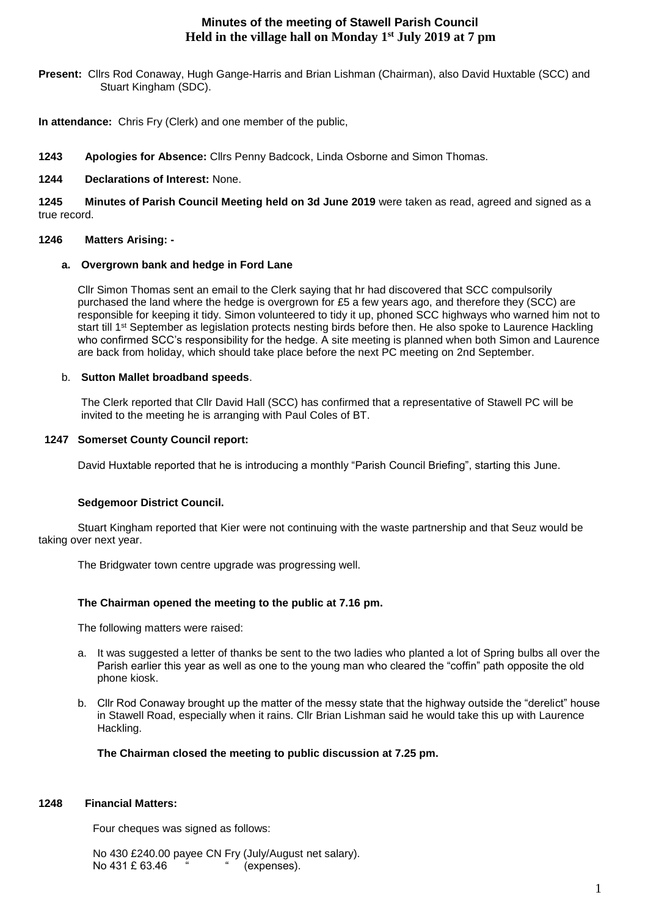# **Minutes of the meeting of Stawell Parish Council Held in the village hall on Monday 1st July 2019 at 7 pm**

**Present:** Cllrs Rod Conaway, Hugh Gange-Harris and Brian Lishman (Chairman), also David Huxtable (SCC) and Stuart Kingham (SDC).

**In attendance:** Chris Fry (Clerk) and one member of the public,

**1243 Apologies for Absence:** Cllrs Penny Badcock, Linda Osborne and Simon Thomas.

# **1244 Declarations of Interest:** None.

**1245 Minutes of Parish Council Meeting held on 3d June 2019** were taken as read, agreed and signed as a true record.

## **1246 Matters Arising: -**

## **a. Overgrown bank and hedge in Ford Lane**

Cllr Simon Thomas sent an email to the Clerk saying that hr had discovered that SCC compulsorily purchased the land where the hedge is overgrown for £5 a few years ago, and therefore they (SCC) are responsible for keeping it tidy. Simon volunteered to tidy it up, phoned SCC highways who warned him not to start till 1<sup>st</sup> September as legislation protects nesting birds before then. He also spoke to Laurence Hackling who confirmed SCC's responsibility for the hedge. A site meeting is planned when both Simon and Laurence are back from holiday, which should take place before the next PC meeting on 2nd September.

## b. **Sutton Mallet broadband speeds**.

The Clerk reported that Cllr David Hall (SCC) has confirmed that a representative of Stawell PC will be invited to the meeting he is arranging with Paul Coles of BT.

## **1247 Somerset County Council report:**

David Huxtable reported that he is introducing a monthly "Parish Council Briefing", starting this June.

# **Sedgemoor District Council.**

Stuart Kingham reported that Kier were not continuing with the waste partnership and that Seuz would be taking over next year.

The Bridgwater town centre upgrade was progressing well.

# **The Chairman opened the meeting to the public at 7.16 pm.**

The following matters were raised:

- a. It was suggested a letter of thanks be sent to the two ladies who planted a lot of Spring bulbs all over the Parish earlier this year as well as one to the young man who cleared the "coffin" path opposite the old phone kiosk.
- b. Cllr Rod Conaway brought up the matter of the messy state that the highway outside the "derelict" house in Stawell Road, especially when it rains. Cllr Brian Lishman said he would take this up with Laurence Hackling.

# **The Chairman closed the meeting to public discussion at 7.25 pm.**

## **1248 Financial Matters:**

Four cheques was signed as follows:

 No 430 £240.00 payee CN Fry (July/August net salary). No 431 £ 63.46 " (expenses).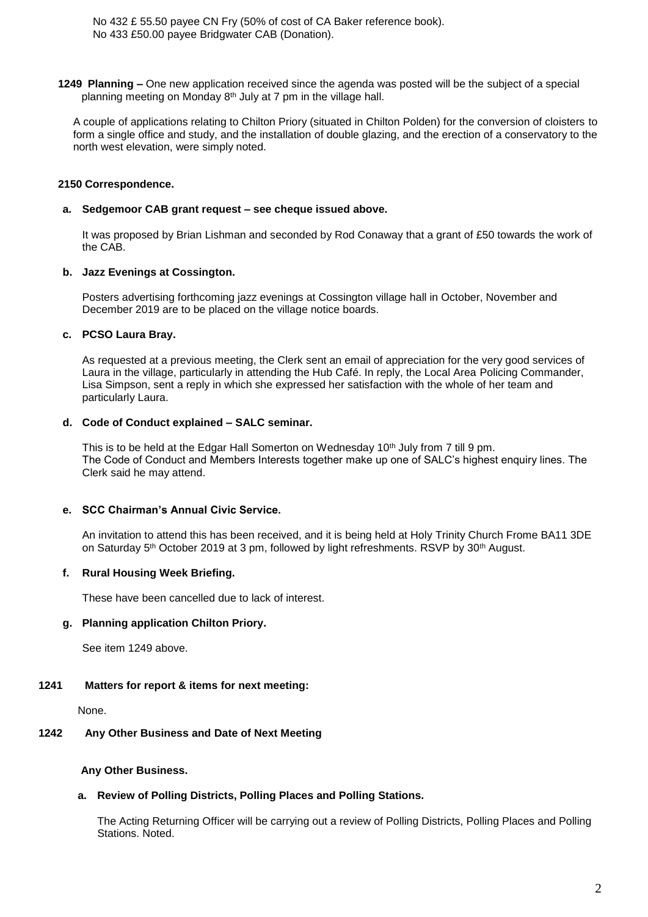No 432 £ 55.50 payee CN Fry (50% of cost of CA Baker reference book). No 433 £50.00 payee Bridgwater CAB (Donation).

**1249 Planning –** One new application received since the agenda was posted will be the subject of a special planning meeting on Monday 8<sup>th</sup> July at 7 pm in the village hall.

A couple of applications relating to Chilton Priory (situated in Chilton Polden) for the conversion of cloisters to form a single office and study, and the installation of double glazing, and the erection of a conservatory to the north west elevation, were simply noted.

#### **2150 Correspondence.**

#### **a. Sedgemoor CAB grant request – see cheque issued above.**

It was proposed by Brian Lishman and seconded by Rod Conaway that a grant of £50 towards the work of the CAB.

#### **b. Jazz Evenings at Cossington.**

Posters advertising forthcoming jazz evenings at Cossington village hall in October, November and December 2019 are to be placed on the village notice boards.

## **c. PCSO Laura Bray.**

As requested at a previous meeting, the Clerk sent an email of appreciation for the very good services of Laura in the village, particularly in attending the Hub Café. In reply, the Local Area Policing Commander, Lisa Simpson, sent a reply in which she expressed her satisfaction with the whole of her team and particularly Laura.

## **d. Code of Conduct explained – SALC seminar.**

This is to be held at the Edgar Hall Somerton on Wednesday  $10<sup>th</sup>$  July from 7 till 9 pm. The Code of Conduct and Members Interests together make up one of SALC's highest enquiry lines. The Clerk said he may attend.

## **e. SCC Chairman's Annual Civic Service.**

An invitation to attend this has been received, and it is being held at Holy Trinity Church Frome BA11 3DE on Saturday 5<sup>th</sup> October 2019 at 3 pm, followed by light refreshments. RSVP by 30<sup>th</sup> August.

## **f. Rural Housing Week Briefing.**

These have been cancelled due to lack of interest.

## **g. Planning application Chilton Priory.**

See item 1249 above.

#### **1241 Matters for report & items for next meeting:**

None.

#### **1242 Any Other Business and Date of Next Meeting**

#### **Any Other Business.**

## **a. Review of Polling Districts, Polling Places and Polling Stations.**

The Acting Returning Officer will be carrying out a review of Polling Districts, Polling Places and Polling Stations. Noted.